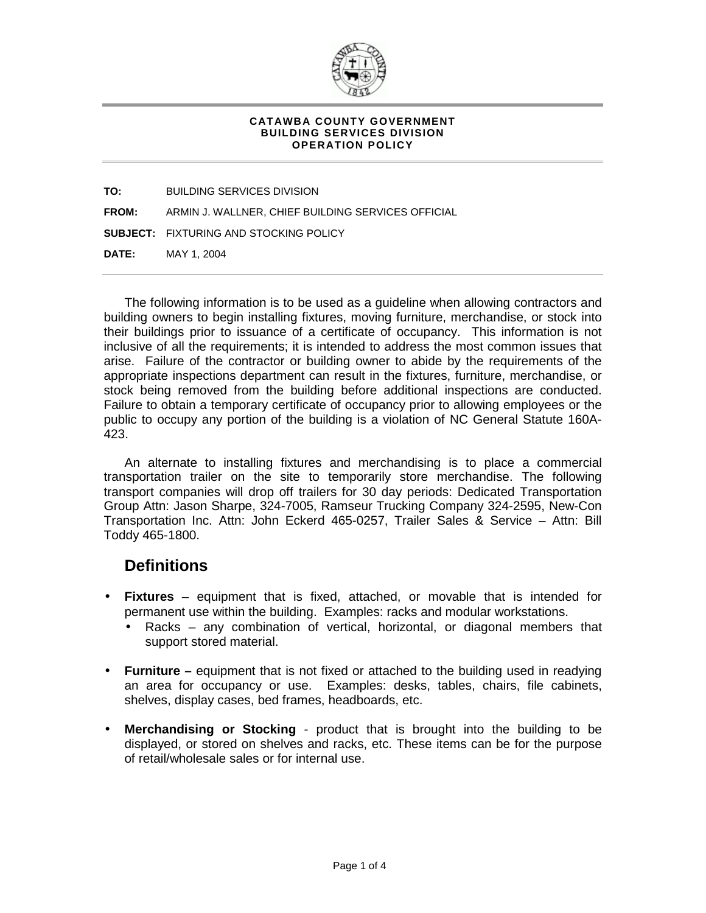

## **CATAWBA COUNTY GOVERNMENT BUILDING SERVICES DIVISION OPERATION POLICY**

**TO:** BUILDING SERVICES DIVISION

**FROM:** ARMIN J. WALLNER, CHIEF BUILDING SERVICES OFFICIAL

**SUBJECT:** FIXTURING AND STOCKING POLICY

**DATE:** MAY 1, 2004

The following information is to be used as a guideline when allowing contractors and building owners to begin installing fixtures, moving furniture, merchandise, or stock into their buildings prior to issuance of a certificate of occupancy. This information is not inclusive of all the requirements; it is intended to address the most common issues that arise. Failure of the contractor or building owner to abide by the requirements of the appropriate inspections department can result in the fixtures, furniture, merchandise, or stock being removed from the building before additional inspections are conducted. Failure to obtain a temporary certificate of occupancy prior to allowing employees or the public to occupy any portion of the building is a violation of NC General Statute 160A-423.

An alternate to installing fixtures and merchandising is to place a commercial transportation trailer on the site to temporarily store merchandise. The following transport companies will drop off trailers for 30 day periods: Dedicated Transportation Group Attn: Jason Sharpe, 324-7005, Ramseur Trucking Company 324-2595, New-Con Transportation Inc. Attn: John Eckerd 465-0257, Trailer Sales & Service – Attn: Bill Toddy 465-1800.

## **Definitions**

- **Fixtures** equipment that is fixed, attached, or movable that is intended for permanent use within the building. Examples: racks and modular workstations.
	- Racks any combination of vertical, horizontal, or diagonal members that support stored material.
- **Furniture** equipment that is not fixed or attached to the building used in readying an area for occupancy or use. Examples: desks, tables, chairs, file cabinets, shelves, display cases, bed frames, headboards, etc.
- **Merchandising or Stocking** product that is brought into the building to be displayed, or stored on shelves and racks, etc. These items can be for the purpose of retail/wholesale sales or for internal use.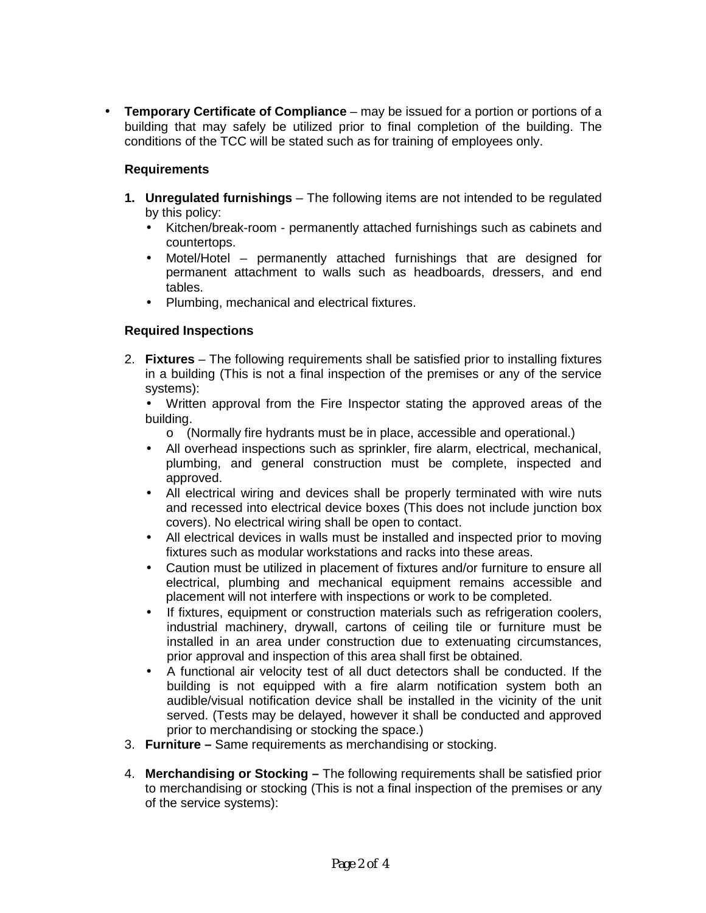• **Temporary Certificate of Compliance** – may be issued for a portion or portions of a building that may safely be utilized prior to final completion of the building. The conditions of the TCC will be stated such as for training of employees only.

## **Requirements**

- **1. Unregulated furnishings**  The following items are not intended to be regulated by this policy:
	- Kitchen/break-room permanently attached furnishings such as cabinets and countertops.
	- Motel/Hotel permanently attached furnishings that are designed for permanent attachment to walls such as headboards, dressers, and end tables.
	- Plumbing, mechanical and electrical fixtures.

## **Required Inspections**

- 2. **Fixtures**  The following requirements shall be satisfied prior to installing fixtures in a building (This is not a final inspection of the premises or any of the service systems):
	- Written approval from the Fire Inspector stating the approved areas of the building.
		- o (Normally fire hydrants must be in place, accessible and operational.)
	- All overhead inspections such as sprinkler, fire alarm, electrical, mechanical, plumbing, and general construction must be complete, inspected and approved.
	- All electrical wiring and devices shall be properly terminated with wire nuts and recessed into electrical device boxes (This does not include junction box covers). No electrical wiring shall be open to contact.
	- All electrical devices in walls must be installed and inspected prior to moving fixtures such as modular workstations and racks into these areas.
	- Caution must be utilized in placement of fixtures and/or furniture to ensure all electrical, plumbing and mechanical equipment remains accessible and placement will not interfere with inspections or work to be completed.
	- If fixtures, equipment or construction materials such as refrigeration coolers, industrial machinery, drywall, cartons of ceiling tile or furniture must be installed in an area under construction due to extenuating circumstances, prior approval and inspection of this area shall first be obtained.
	- A functional air velocity test of all duct detectors shall be conducted. If the building is not equipped with a fire alarm notification system both an audible/visual notification device shall be installed in the vicinity of the unit served. (Tests may be delayed, however it shall be conducted and approved prior to merchandising or stocking the space.)
- 3. **Furniture** Same requirements as merchandising or stocking.
- 4. **Merchandising or Stocking** The following requirements shall be satisfied prior to merchandising or stocking (This is not a final inspection of the premises or any of the service systems):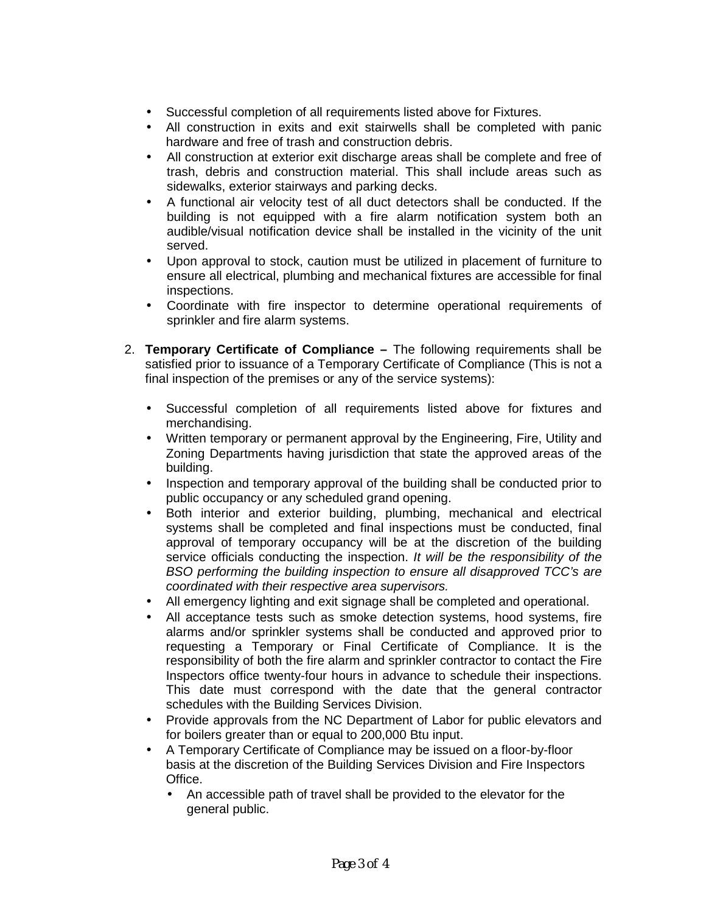- Successful completion of all requirements listed above for Fixtures.
- All construction in exits and exit stairwells shall be completed with panic hardware and free of trash and construction debris.
- All construction at exterior exit discharge areas shall be complete and free of trash, debris and construction material. This shall include areas such as sidewalks, exterior stairways and parking decks.
- A functional air velocity test of all duct detectors shall be conducted. If the building is not equipped with a fire alarm notification system both an audible/visual notification device shall be installed in the vicinity of the unit served.
- Upon approval to stock, caution must be utilized in placement of furniture to ensure all electrical, plumbing and mechanical fixtures are accessible for final inspections.
- Coordinate with fire inspector to determine operational requirements of sprinkler and fire alarm systems.
- 2. **Temporary Certificate of Compliance** The following requirements shall be satisfied prior to issuance of a Temporary Certificate of Compliance (This is not a final inspection of the premises or any of the service systems):
	- Successful completion of all requirements listed above for fixtures and merchandising.
	- Written temporary or permanent approval by the Engineering, Fire, Utility and Zoning Departments having jurisdiction that state the approved areas of the building.
	- Inspection and temporary approval of the building shall be conducted prior to public occupancy or any scheduled grand opening.
	- Both interior and exterior building, plumbing, mechanical and electrical systems shall be completed and final inspections must be conducted, final approval of temporary occupancy will be at the discretion of the building service officials conducting the inspection. *It will be the responsibility of the BSO performing the building inspection to ensure all disapproved TCC's are coordinated with their respective area supervisors.*
	- All emergency lighting and exit signage shall be completed and operational.
	- All acceptance tests such as smoke detection systems, hood systems, fire alarms and/or sprinkler systems shall be conducted and approved prior to requesting a Temporary or Final Certificate of Compliance. It is the responsibility of both the fire alarm and sprinkler contractor to contact the Fire Inspectors office twenty-four hours in advance to schedule their inspections. This date must correspond with the date that the general contractor schedules with the Building Services Division.
	- Provide approvals from the NC Department of Labor for public elevators and for boilers greater than or equal to 200,000 Btu input.
	- A Temporary Certificate of Compliance may be issued on a floor-by-floor basis at the discretion of the Building Services Division and Fire Inspectors Office.
		- An accessible path of travel shall be provided to the elevator for the general public.